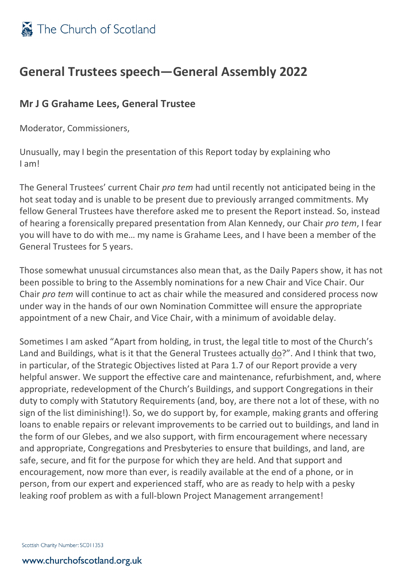

## **General Trustees speech—General Assembly 2022**

## **Mr J G Grahame Lees, General Trustee**

Moderator, Commissioners,

Unusually, may I begin the presentation of this Report today by explaining who I am!

The General Trustees' current Chair *pro tem* had until recently not anticipated being in the hot seat today and is unable to be present due to previously arranged commitments. My fellow General Trustees have therefore asked me to present the Report instead. So, instead of hearing a forensically prepared presentation from Alan Kennedy, our Chair *pro tem*, I fear you will have to do with me… my name is Grahame Lees, and I have been a member of the General Trustees for 5 years.

Those somewhat unusual circumstances also mean that, as the Daily Papers show, it has not been possible to bring to the Assembly nominations for a new Chair and Vice Chair. Our Chair *pro tem* will continue to act as chair while the measured and considered process now under way in the hands of our own Nomination Committee will ensure the appropriate appointment of a new Chair, and Vice Chair, with a minimum of avoidable delay.

Sometimes I am asked "Apart from holding, in trust, the legal title to most of the Church's Land and Buildings, what is it that the General Trustees actually do?". And I think that two, in particular, of the Strategic Objectives listed at Para 1.7 of our Report provide a very helpful answer. We support the effective care and maintenance, refurbishment, and, where appropriate, redevelopment of the Church's Buildings, and support Congregations in their duty to comply with Statutory Requirements (and, boy, are there not a lot of these, with no sign of the list diminishing!). So, we do support by, for example, making grants and offering loans to enable repairs or relevant improvements to be carried out to buildings, and land in the form of our Glebes, and we also support, with firm encouragement where necessary and appropriate, Congregations and Presbyteries to ensure that buildings, and land, are safe, secure, and fit for the purpose for which they are held. And that support and encouragement, now more than ever, is readily available at the end of a phone, or in person, from our expert and experienced staff, who are as ready to help with a pesky leaking roof problem as with a full-blown Project Management arrangement!

Scottish Charity Number: SC011353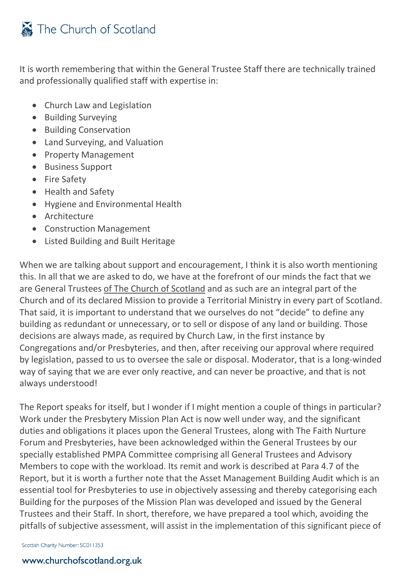## The Church of Scotland

It is worth remembering that within the General Trustee Staff there are technically trained and professionally qualified staff with expertise in:

- Church Law and Legislation
- Building Surveying
- Building Conservation
- Land Surveying, and Valuation
- Property Management
- Business Support
- Fire Safety
- Health and Safety
- Hygiene and Environmental Health
- Architecture
- Construction Management
- Listed Building and Built Heritage

When we are talking about support and encouragement, I think it is also worth mentioning this. In all that we are asked to do, we have at the forefront of our minds the fact that we are General Trustees of The Church of Scotland and as such are an integral part of the Church and of its declared Mission to provide a Territorial Ministry in every part of Scotland. That said, it is important to understand that we ourselves do not "decide" to define any building as redundant or unnecessary, or to sell or dispose of any land or building. Those decisions are always made, as required by Church Law, in the first instance by Congregations and/or Presbyteries, and then, after receiving our approval where required by legislation, passed to us to oversee the sale or disposal. Moderator, that is a long-winded way of saying that we are ever only reactive, and can never be proactive, and that is not always understood!

The Report speaks for itself, but I wonder if I might mention a couple of things in particular? Work under the Presbytery Mission Plan Act is now well under way, and the significant duties and obligations it places upon the General Trustees, along with The Faith Nurture Forum and Presbyteries, have been acknowledged within the General Trustees by our specially established PMPA Committee comprising all General Trustees and Advisory Members to cope with the workload. Its remit and work is described at Para 4.7 of the Report, but it is worth a further note that the Asset Management Building Audit which is an essential tool for Presbyteries to use in objectively assessing and thereby categorising each Building for the purposes of the Mission Plan was developed and issued by the General Trustees and their Staff. In short, therefore, we have prepared a tool which, avoiding the pitfalls of subjective assessment, will assist in the implementation of this significant piece of

Scottish Charity Number: SC011353

## www.churchofscotland.org.uk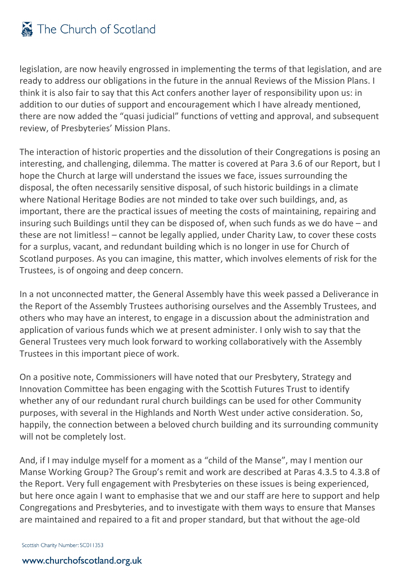legislation, are now heavily engrossed in implementing the terms of that legislation, and are ready to address our obligations in the future in the annual Reviews of the Mission Plans. I think it is also fair to say that this Act confers another layer of responsibility upon us: in addition to our duties of support and encouragement which I have already mentioned, there are now added the "quasi judicial" functions of vetting and approval, and subsequent review, of Presbyteries' Mission Plans.

The interaction of historic properties and the dissolution of their Congregations is posing an interesting, and challenging, dilemma. The matter is covered at Para 3.6 of our Report, but I hope the Church at large will understand the issues we face, issues surrounding the disposal, the often necessarily sensitive disposal, of such historic buildings in a climate where National Heritage Bodies are not minded to take over such buildings, and, as important, there are the practical issues of meeting the costs of maintaining, repairing and insuring such Buildings until they can be disposed of, when such funds as we do have – and these are not limitless! – cannot be legally applied, under Charity Law, to cover these costs for a surplus, vacant, and redundant building which is no longer in use for Church of Scotland purposes. As you can imagine, this matter, which involves elements of risk for the Trustees, is of ongoing and deep concern.

In a not unconnected matter, the General Assembly have this week passed a Deliverance in the Report of the Assembly Trustees authorising ourselves and the Assembly Trustees, and others who may have an interest, to engage in a discussion about the administration and application of various funds which we at present administer. I only wish to say that the General Trustees very much look forward to working collaboratively with the Assembly Trustees in this important piece of work.

On a positive note, Commissioners will have noted that our Presbytery, Strategy and Innovation Committee has been engaging with the Scottish Futures Trust to identify whether any of our redundant rural church buildings can be used for other Community purposes, with several in the Highlands and North West under active consideration. So, happily, the connection between a beloved church building and its surrounding community will not be completely lost.

And, if I may indulge myself for a moment as a "child of the Manse", may I mention our Manse Working Group? The Group's remit and work are described at Paras 4.3.5 to 4.3.8 of the Report. Very full engagement with Presbyteries on these issues is being experienced, but here once again I want to emphasise that we and our staff are here to support and help Congregations and Presbyteries, and to investigate with them ways to ensure that Manses are maintained and repaired to a fit and proper standard, but that without the age-old

Scottish Charity Number: SC011353